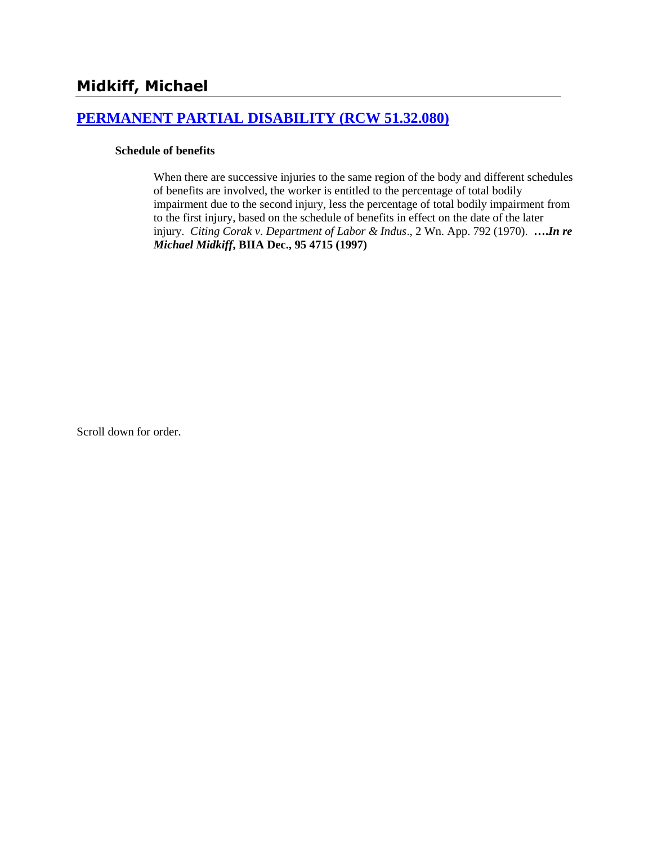# **[PERMANENT PARTIAL DISABILITY \(RCW 51.32.080\)](http://www.biia.wa.gov/SDSubjectIndex.html#PERMANENT_PARTIAL_DISABILITY)**

#### **Schedule of benefits**

When there are successive injuries to the same region of the body and different schedules of benefits are involved, the worker is entitled to the percentage of total bodily impairment due to the second injury, less the percentage of total bodily impairment from to the first injury, based on the schedule of benefits in effect on the date of the later injury. *Citing Corak v. Department of Labor & Indus*., 2 Wn. App. 792 (1970). **….***In re Michael Midkiff***, BIIA Dec., 95 4715 (1997)** 

Scroll down for order.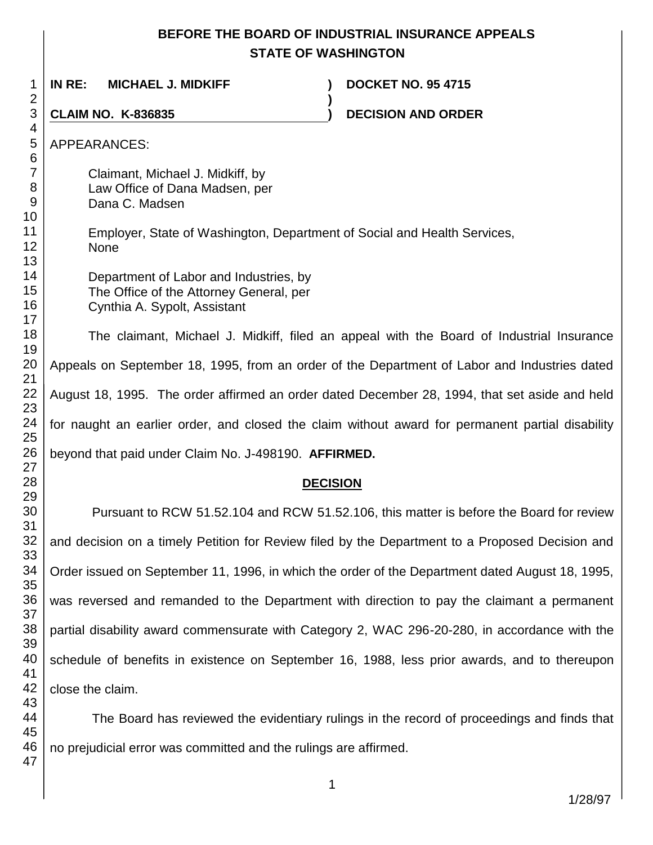# **BEFORE THE BOARD OF INDUSTRIAL INSURANCE APPEALS STATE OF WASHINGTON**

**)**

 **IN RE: MICHAEL J. MIDKIFF ) DOCKET NO. 95 4715**

**CLAIM NO. K-836835 ) DECISION AND ORDER** 

APPEARANCES:

Claimant, Michael J. Midkiff, by Law Office of Dana Madsen, per Dana C. Madsen

Employer, State of Washington, Department of Social and Health Services, None

Department of Labor and Industries, by The Office of the Attorney General, per Cynthia A. Sypolt, Assistant

The claimant, Michael J. Midkiff, filed an appeal with the Board of Industrial Insurance Appeals on September 18, 1995, from an order of the Department of Labor and Industries dated August 18, 1995. The order affirmed an order dated December 28, 1994, that set aside and held for naught an earlier order, and closed the claim without award for permanent partial disability beyond that paid under Claim No. J-498190. **AFFIRMED.**

# **DECISION**

Pursuant to RCW 51.52.104 and RCW 51.52.106, this matter is before the Board for review and decision on a timely Petition for Review filed by the Department to a Proposed Decision and Order issued on September 11, 1996, in which the order of the Department dated August 18, 1995, was reversed and remanded to the Department with direction to pay the claimant a permanent partial disability award commensurate with Category 2, WAC 296-20-280, in accordance with the schedule of benefits in existence on September 16, 1988, less prior awards, and to thereupon close the claim.

 The Board has reviewed the evidentiary rulings in the record of proceedings and finds that no prejudicial error was committed and the rulings are affirmed.

1/28/97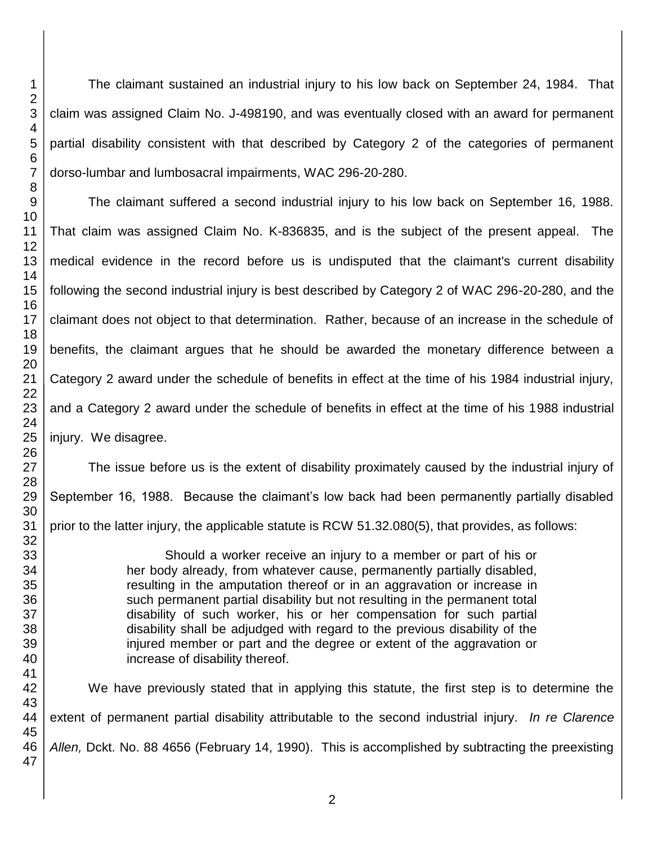The claimant sustained an industrial injury to his low back on September 24, 1984. That claim was assigned Claim No. J-498190, and was eventually closed with an award for permanent partial disability consistent with that described by Category 2 of the categories of permanent dorso-lumbar and lumbosacral impairments, WAC 296-20-280.

The claimant suffered a second industrial injury to his low back on September 16, 1988. That claim was assigned Claim No. K-836835, and is the subject of the present appeal. The medical evidence in the record before us is undisputed that the claimant's current disability following the second industrial injury is best described by Category 2 of WAC 296-20-280, and the claimant does not object to that determination. Rather, because of an increase in the schedule of benefits, the claimant argues that he should be awarded the monetary difference between a Category 2 award under the schedule of benefits in effect at the time of his 1984 industrial injury, and a Category 2 award under the schedule of benefits in effect at the time of his 1988 industrial injury. We disagree.

The issue before us is the extent of disability proximately caused by the industrial injury of September 16, 1988. Because the claimant's low back had been permanently partially disabled prior to the latter injury, the applicable statute is RCW 51.32.080(5), that provides, as follows:

> Should a worker receive an injury to a member or part of his or her body already, from whatever cause, permanently partially disabled, resulting in the amputation thereof or in an aggravation or increase in such permanent partial disability but not resulting in the permanent total disability of such worker, his or her compensation for such partial disability shall be adjudged with regard to the previous disability of the injured member or part and the degree or extent of the aggravation or increase of disability thereof.

 We have previously stated that in applying this statute, the first step is to determine the extent of permanent partial disability attributable to the second industrial injury. *In re Clarence Allen,* Dckt. No. 88 4656 (February 14, 1990). This is accomplished by subtracting the preexisting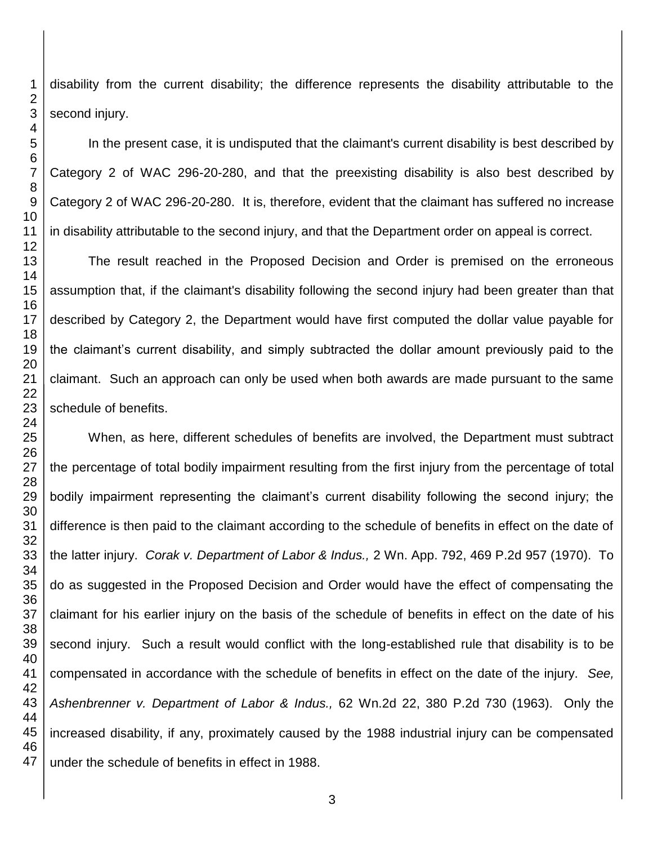disability from the current disability; the difference represents the disability attributable to the second injury.

In the present case, it is undisputed that the claimant's current disability is best described by Category 2 of WAC 296-20-280, and that the preexisting disability is also best described by Category 2 of WAC 296-20-280. It is, therefore, evident that the claimant has suffered no increase in disability attributable to the second injury, and that the Department order on appeal is correct.

The result reached in the Proposed Decision and Order is premised on the erroneous assumption that, if the claimant's disability following the second injury had been greater than that described by Category 2, the Department would have first computed the dollar value payable for the claimant's current disability, and simply subtracted the dollar amount previously paid to the claimant. Such an approach can only be used when both awards are made pursuant to the same schedule of benefits.

When, as here, different schedules of benefits are involved, the Department must subtract the percentage of total bodily impairment resulting from the first injury from the percentage of total bodily impairment representing the claimant's current disability following the second injury; the difference is then paid to the claimant according to the schedule of benefits in effect on the date of the latter injury. *Corak v. Department of Labor & Indus.,* 2 Wn. App. 792, 469 P.2d 957 (1970). To do as suggested in the Proposed Decision and Order would have the effect of compensating the claimant for his earlier injury on the basis of the schedule of benefits in effect on the date of his second injury. Such a result would conflict with the long-established rule that disability is to be compensated in accordance with the schedule of benefits in effect on the date of the injury. *See, Ashenbrenner v. Department of Labor & Indus.,* 62 Wn.2d 22, 380 P.2d 730 (1963). Only the increased disability, if any, proximately caused by the 1988 industrial injury can be compensated under the schedule of benefits in effect in 1988.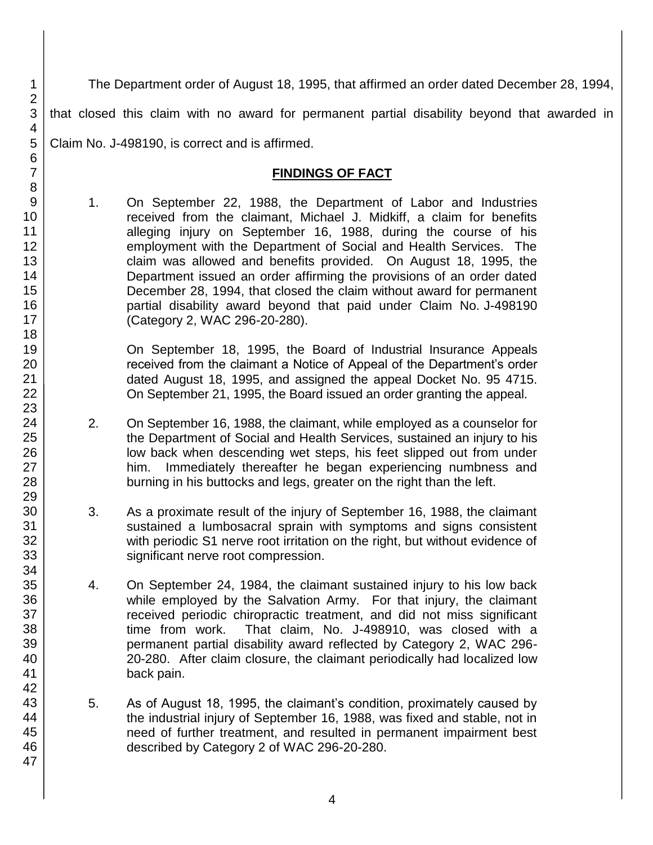The Department order of August 18, 1995, that affirmed an order dated December 28, 1994, that closed this claim with no award for permanent partial disability beyond that awarded in Claim No. J-498190, is correct and is affirmed.

## **FINDINGS OF FACT**

1. On September 22, 1988, the Department of Labor and Industries received from the claimant, Michael J. Midkiff, a claim for benefits alleging injury on September 16, 1988, during the course of his employment with the Department of Social and Health Services. The claim was allowed and benefits provided. On August 18, 1995, the Department issued an order affirming the provisions of an order dated December 28, 1994, that closed the claim without award for permanent partial disability award beyond that paid under Claim No. J-498190 (Category 2, WAC 296-20-280).

On September 18, 1995, the Board of Industrial Insurance Appeals received from the claimant a Notice of Appeal of the Department's order dated August 18, 1995, and assigned the appeal Docket No. 95 4715. On September 21, 1995, the Board issued an order granting the appeal.

- 2. On September 16, 1988, the claimant, while employed as a counselor for the Department of Social and Health Services, sustained an injury to his low back when descending wet steps, his feet slipped out from under him. Immediately thereafter he began experiencing numbness and burning in his buttocks and legs, greater on the right than the left.
- 3. As a proximate result of the injury of September 16, 1988, the claimant sustained a lumbosacral sprain with symptoms and signs consistent with periodic S1 nerve root irritation on the right, but without evidence of significant nerve root compression.
- 4. On September 24, 1984, the claimant sustained injury to his low back while employed by the Salvation Army. For that injury, the claimant received periodic chiropractic treatment, and did not miss significant time from work. That claim, No. J-498910, was closed with a permanent partial disability award reflected by Category 2, WAC 296- 20-280. After claim closure, the claimant periodically had localized low back pain.
- 5. As of August 18, 1995, the claimant's condition, proximately caused by the industrial injury of September 16, 1988, was fixed and stable, not in need of further treatment, and resulted in permanent impairment best described by Category 2 of WAC 296-20-280.

1 2 3